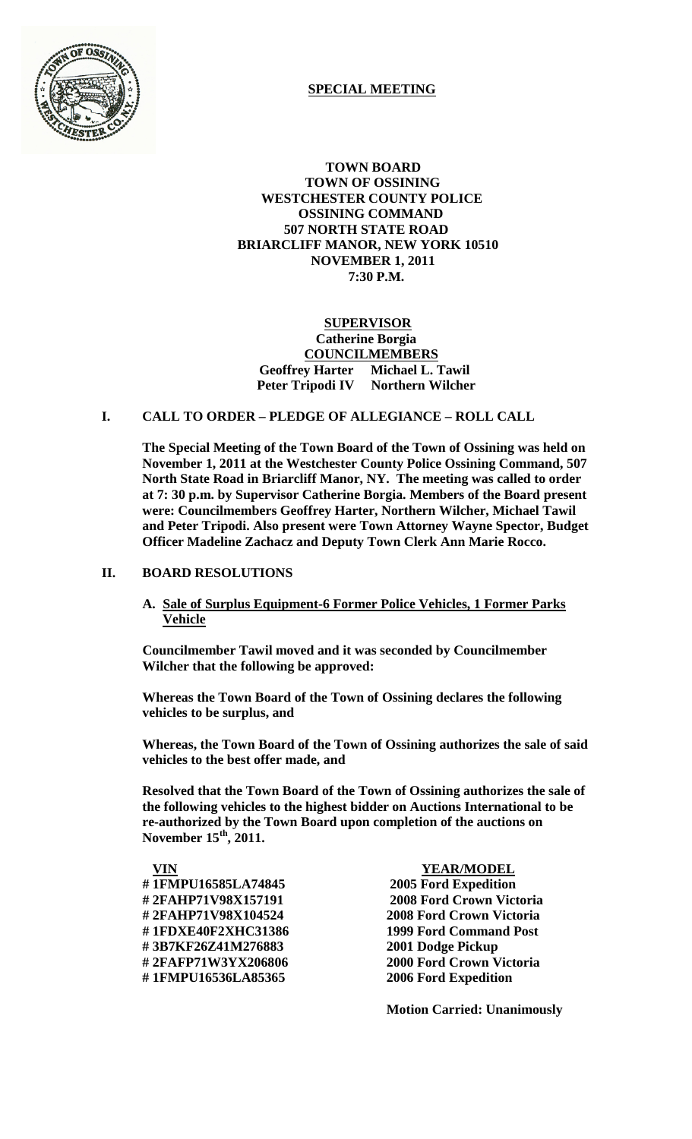

# **SPECIAL MEETING**

 **TOWN BOARD TOWN OF OSSINING WESTCHESTER COUNTY POLICE OSSINING COMMAND 507 NORTH STATE ROAD BRIARCLIFF MANOR, NEW YORK 10510 NOVEMBER 1, 2011 7:30 P.M.**

# **SUPERVISOR Catherine Borgia COUNCILMEMBERS Geoffrey Harter Michael L. Tawil Peter Tripodi IV Northern Wilcher**

# **I. CALL TO ORDER – PLEDGE OF ALLEGIANCE – ROLL CALL**

**The Special Meeting of the Town Board of the Town of Ossining was held on November 1, 2011 at the Westchester County Police Ossining Command, 507 North State Road in Briarcliff Manor, NY. The meeting was called to order at 7: 30 p.m. by Supervisor Catherine Borgia. Members of the Board present were: Councilmembers Geoffrey Harter, Northern Wilcher, Michael Tawil and Peter Tripodi. Also present were Town Attorney Wayne Spector, Budget Officer Madeline Zachacz and Deputy Town Clerk Ann Marie Rocco.**

## **II. BOARD RESOLUTIONS**

**A. Sale of Surplus Equipment-6 Former Police Vehicles, 1 Former Parks Vehicle**

**Councilmember Tawil moved and it was seconded by Councilmember Wilcher that the following be approved:**

**Whereas the Town Board of the Town of Ossining declares the following vehicles to be surplus, and** 

**Whereas, the Town Board of the Town of Ossining authorizes the sale of said vehicles to the best offer made, and**

**Resolved that the Town Board of the Town of Ossining authorizes the sale of the following vehicles to the highest bidder on Auctions International to be re-authorized by the Town Board upon completion of the auctions on November 15th, 2011.**

 **VIN YEAR/MODEL # 1FMPU16585LA74845 2005 Ford Expedition # 3B7KF26Z41M276883 2001 Dodge Pickup**

**# 2FAHP71V98X157191 2008 Ford Crown Victoria # 2FAHP71V98X104524 2008 Ford Crown Victoria # 1FDXE40F2XHC31386 1999 Ford Command Post # 2FAFP71W3YX206806 2000 Ford Crown Victoria # 1FMPU16536LA85365 2006 Ford Expedition**

**Motion Carried: Unanimously**